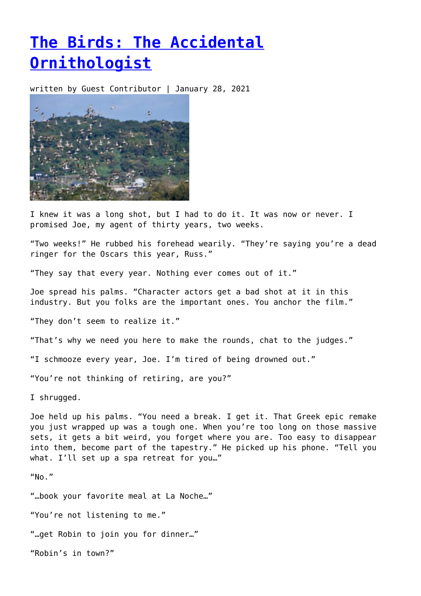## **[The Birds: The Accidental](https://entropymag.org/the-birds-the-accidental-ornithologist/) [Ornithologist](https://entropymag.org/the-birds-the-accidental-ornithologist/)**

written by Guest Contributor | January 28, 2021



I knew it was a long shot, but I had to do it. It was now or never. I promised Joe, my agent of thirty years, two weeks.

"Two weeks!" He rubbed his forehead wearily. "They're saying you're a dead ringer for the Oscars this year, Russ."

"They say that every year. Nothing ever comes out of it."

Joe spread his palms. "Character actors get a bad shot at it in this industry. But you folks are the important ones. You anchor the film."

"They don't seem to realize it."

"That's why we need you here to make the rounds, chat to the judges."

"I schmooze every year, Joe. I'm tired of being drowned out."

"You're not thinking of retiring, are you?"

I shrugged.

Joe held up his palms. "You need a break. I get it. That Greek epic remake you just wrapped up was a tough one. When you're too long on those massive sets, it gets a bit weird, you forget where you are. Too easy to disappear into them, become part of the tapestry." He picked up his phone. "Tell you what. I'll set up a spa retreat for you…"

 $''$ No."

"…book your favorite meal at La Noche…"

"You're not listening to me."

"…get Robin to join you for dinner…"

"Robin's in town?"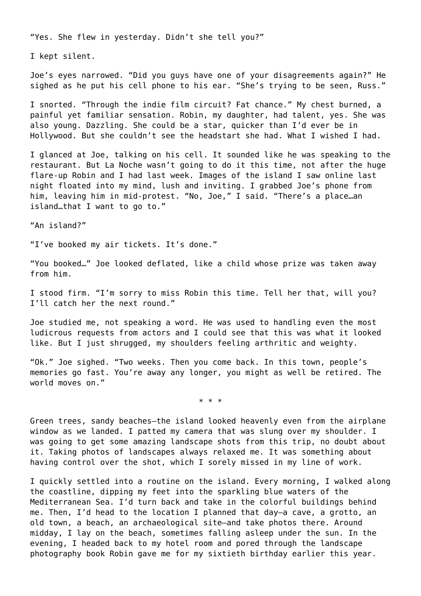"Yes. She flew in yesterday. Didn't she tell you?"

I kept silent.

Joe's eyes narrowed. "Did you guys have one of your disagreements again?" He sighed as he put his cell phone to his ear. "She's trying to be seen, Russ."

I snorted. "Through the indie film circuit? Fat chance." My chest burned, a painful yet familiar sensation. Robin, my daughter, had talent, yes. She was also young. Dazzling. She could be a star, quicker than I'd ever be in Hollywood. But she couldn't see the headstart she had. What I wished I had.

I glanced at Joe, talking on his cell. It sounded like he was speaking to the restaurant. But La Noche wasn't going to do it this time, not after the huge flare-up Robin and I had last week. Images of the island I saw online last night floated into my mind, lush and inviting. I grabbed Joe's phone from him, leaving him in mid-protest. "No, Joe," I said. "There's a place…an island…that I want to go to."

"An island?"

"I've booked my air tickets. It's done."

"You booked…" Joe looked deflated, like a child whose prize was taken away from him.

I stood firm. "I'm sorry to miss Robin this time. Tell her that, will you? I'll catch her the next round."

Joe studied me, not speaking a word. He was used to handling even the most ludicrous requests from actors and I could see that this was what it looked like. But I just shrugged, my shoulders feeling arthritic and weighty.

"Ok." Joe sighed. "Two weeks. Then you come back. In this town, people's memories go fast. You're away any longer, you might as well be retired. The world moves on."

\* \* \*

Green trees, sandy beaches—the island looked heavenly even from the airplane window as we landed. I patted my camera that was slung over my shoulder. I was going to get some amazing landscape shots from this trip, no doubt about it. Taking photos of landscapes always relaxed me. It was something about having control over the shot, which I sorely missed in my line of work.

I quickly settled into a routine on the island. Every morning, I walked along the coastline, dipping my feet into the sparkling blue waters of the Mediterranean Sea. I'd turn back and take in the colorful buildings behind me. Then, I'd head to the location I planned that day—a cave, a grotto, an old town, a beach, an archaeological site—and take photos there. Around midday, I lay on the beach, sometimes falling asleep under the sun. In the evening, I headed back to my hotel room and pored through the landscape photography book Robin gave me for my sixtieth birthday earlier this year.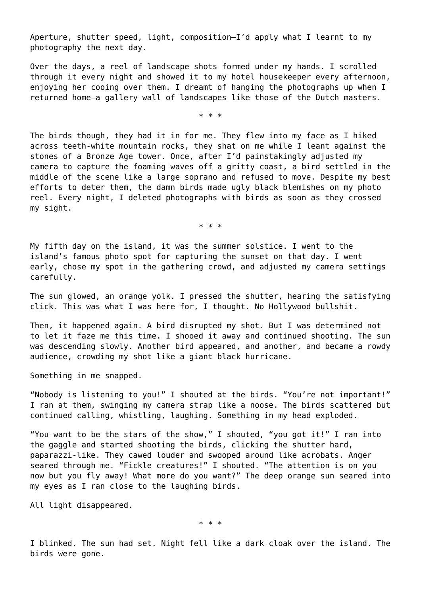Aperture, shutter speed, light, composition—I'd apply what I learnt to my photography the next day.

Over the days, a reel of landscape shots formed under my hands. I scrolled through it every night and showed it to my hotel housekeeper every afternoon, enjoying her cooing over them. I dreamt of hanging the photographs up when I returned home—a gallery wall of landscapes like those of the Dutch masters.

\* \* \*

The birds though, they had it in for me. They flew into my face as I hiked across teeth-white mountain rocks, they shat on me while I leant against the stones of a Bronze Age tower. Once, after I'd painstakingly adjusted my camera to capture the foaming waves off a gritty coast, a bird settled in the middle of the scene like a large soprano and refused to move. Despite my best efforts to deter them, the damn birds made ugly black blemishes on my photo reel. Every night, I deleted photographs with birds as soon as they crossed my sight.

\* \* \*

My fifth day on the island, it was the summer solstice. I went to the island's famous photo spot for capturing the sunset on that day. I went early, chose my spot in the gathering crowd, and adjusted my camera settings carefully.

The sun glowed, an orange yolk. I pressed the shutter, hearing the satisfying click. This was what I was here for, I thought. No Hollywood bullshit.

Then, it happened again. A bird disrupted my shot. But I was determined not to let it faze me this time. I shooed it away and continued shooting. The sun was descending slowly. Another bird appeared, and another, and became a rowdy audience, crowding my shot like a giant black hurricane.

Something in me snapped.

"Nobody is listening to you!" I shouted at the birds. "You're not important!" I ran at them, swinging my camera strap like a noose. The birds scattered but continued calling, whistling, laughing. Something in my head exploded.

"You want to be the stars of the show," I shouted, "you got it!" I ran into the gaggle and started shooting the birds, clicking the shutter hard, paparazzi-like. They cawed louder and swooped around like acrobats. Anger seared through me. "Fickle creatures!" I shouted. "The attention is on you now but you fly away! What more do you want?" The deep orange sun seared into my eyes as I ran close to the laughing birds.

All light disappeared.

\* \* \*

I blinked. The sun had set. Night fell like a dark cloak over the island. The birds were gone.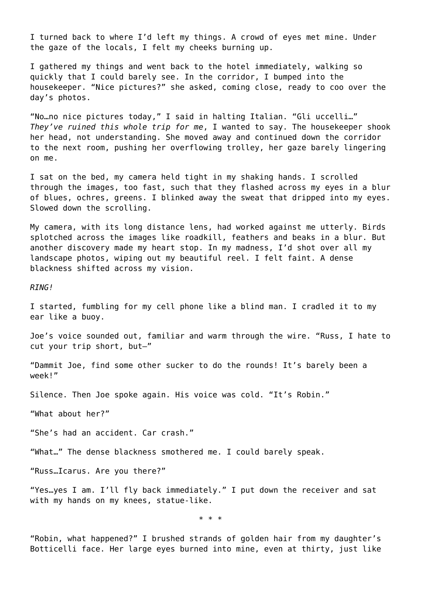I turned back to where I'd left my things. A crowd of eyes met mine. Under the gaze of the locals, I felt my cheeks burning up.

I gathered my things and went back to the hotel immediately, walking so quickly that I could barely see. In the corridor, I bumped into the housekeeper. "Nice pictures?" she asked, coming close, ready to coo over the day's photos.

"No…no nice pictures today," I said in halting Italian. "Gli uccelli…" *They've ruined this whole trip for me*, I wanted to say. The housekeeper shook her head, not understanding. She moved away and continued down the corridor to the next room, pushing her overflowing trolley, her gaze barely lingering on me.

I sat on the bed, my camera held tight in my shaking hands. I scrolled through the images, too fast, such that they flashed across my eyes in a blur of blues, ochres, greens. I blinked away the sweat that dripped into my eyes. Slowed down the scrolling.

My camera, with its long distance lens, had worked against me utterly. Birds splotched across the images like roadkill, feathers and beaks in a blur. But another discovery made my heart stop. In my madness, I'd shot over all my landscape photos, wiping out my beautiful reel. I felt faint. A dense blackness shifted across my vision.

*RING!*

I started, fumbling for my cell phone like a blind man. I cradled it to my ear like a buoy.

Joe's voice sounded out, familiar and warm through the wire. "Russ, I hate to cut your trip short, but—"

"Dammit Joe, find some other sucker to do the rounds! It's barely been a week!"

Silence. Then Joe spoke again. His voice was cold. "It's Robin."

"What about her?"

"She's had an accident. Car crash."

"What…" The dense blackness smothered me. I could barely speak.

"Russ…Icarus. Are you there?"

"Yes…yes I am. I'll fly back immediately." I put down the receiver and sat with my hands on my knees, statue-like.

\* \* \*

"Robin, what happened?" I brushed strands of golden hair from my daughter's Botticelli face. Her large eyes burned into mine, even at thirty, just like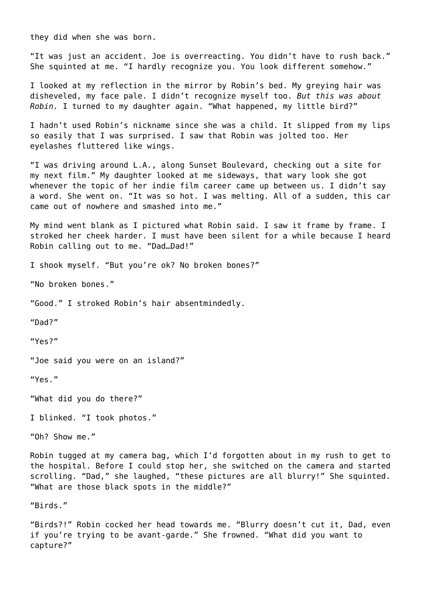they did when she was born.

"It was just an accident. Joe is overreacting. You didn't have to rush back." She squinted at me. "I hardly recognize you. You look different somehow."

I looked at my reflection in the mirror by Robin's bed. My greying hair was disheveled, my face pale. I didn't recognize myself too. *But this was about Robin.* I turned to my daughter again. "What happened, my little bird?"

I hadn't used Robin's nickname since she was a child. It slipped from my lips so easily that I was surprised. I saw that Robin was jolted too. Her eyelashes fluttered like wings.

"I was driving around L.A., along Sunset Boulevard, checking out a site for my next film." My daughter looked at me sideways, that wary look she got whenever the topic of her indie film career came up between us. I didn't say a word. She went on. "It was so hot. I was melting. All of a sudden, this car came out of nowhere and smashed into me."

My mind went blank as I pictured what Robin said. I saw it frame by frame. I stroked her cheek harder. I must have been silent for a while because I heard Robin calling out to me. "Dad…Dad!"

I shook myself. "But you're ok? No broken bones?"

"No broken bones."

"Good." I stroked Robin's hair absentmindedly.

"Dad?"

"Yes?"

"Joe said you were on an island?"

"Yes."

"What did you do there?"

I blinked. "I took photos."

"Oh? Show me."

Robin tugged at my camera bag, which I'd forgotten about in my rush to get to the hospital. Before I could stop her, she switched on the camera and started scrolling. "Dad," she laughed, "these pictures are all blurry!" She squinted. "What are those black spots in the middle?"

"Birds."

"Birds?!" Robin cocked her head towards me. "Blurry doesn't cut it, Dad, even if you're trying to be avant-garde." She frowned. "What did you want to capture?"